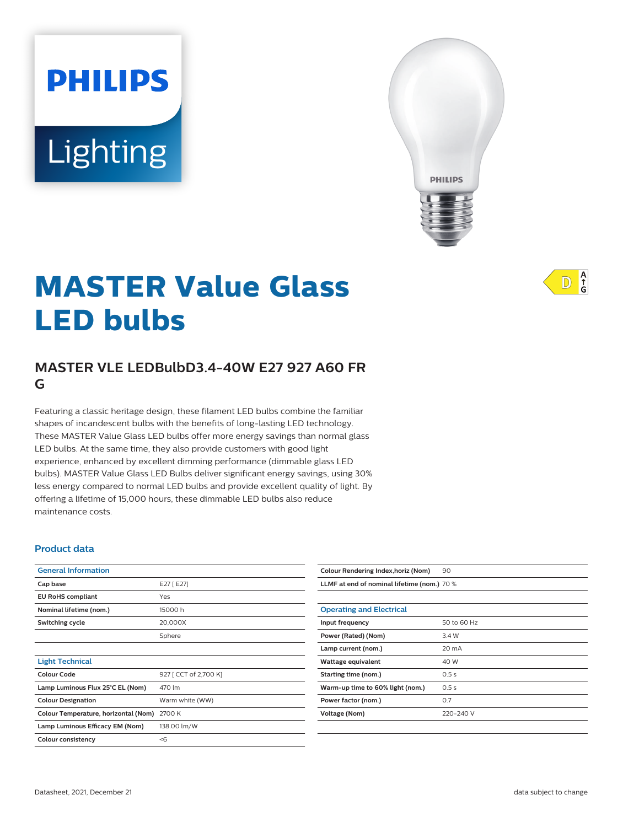# Lighting

**PHILIPS** 



# **MASTER Value Glass LED bulbs**

# **MASTER VLE LEDBulbD3.4-40W E27 927 A60 FR G**

Featuring a classic heritage design, these filament LED bulbs combine the familiar shapes of incandescent bulbs with the benefits of long-lasting LED technology. These MASTER Value Glass LED bulbs offer more energy savings than normal glass LED bulbs. At the same time, they also provide customers with good light experience, enhanced by excellent dimming performance (dimmable glass LED bulbs). MASTER Value Glass LED Bulbs deliver significant energy savings, using 30% less energy compared to normal LED bulbs and provide excellent quality of light. By offering a lifetime of 15,000 hours, these dimmable LED bulbs also reduce maintenance costs.

#### **Product data**

| E27 [ E27]                                     |
|------------------------------------------------|
| Yes                                            |
| 15000 h                                        |
| 20,000X                                        |
| Sphere                                         |
|                                                |
|                                                |
| 927 [ CCT of 2,700 K]                          |
| 470 lm                                         |
| Warm white (WW)                                |
| 2700 K<br>Colour Temperature, horizontal (Nom) |
| 138.00 lm/W                                    |
| $<$ 6                                          |
|                                                |

| Colour Rendering Index, horiz (Nom)         | 90          |
|---------------------------------------------|-------------|
| LLMF at end of nominal lifetime (nom.) 70 % |             |
|                                             |             |
| <b>Operating and Electrical</b>             |             |
| Input frequency                             | 50 to 60 Hz |
| Power (Rated) (Nom)                         | 3.4 W       |
| Lamp current (nom.)                         | 20 mA       |
| Wattage equivalent                          | 40 W        |
| Starting time (nom.)                        | 0.5s        |
| Warm-up time to 60% light (nom.)            | 0.5s        |
| Power factor (nom.)                         | 0.7         |
| Voltage (Nom)                               | 220-240 V   |
|                                             |             |

 $A$ <sub>G</sub>  $\mathbb{D}$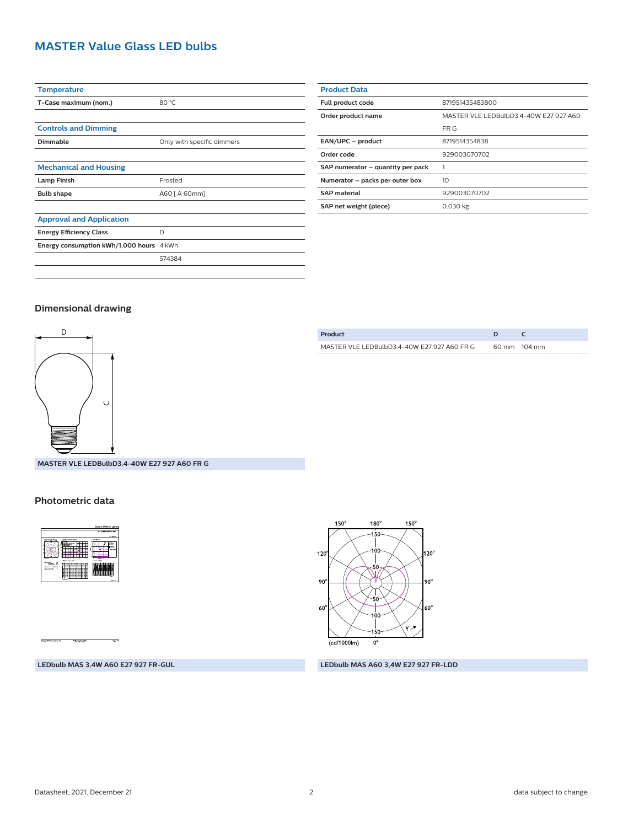# **MASTER Value Glass LED bulbs**

| <b>Temperature</b>                       |                            |
|------------------------------------------|----------------------------|
| T-Case maximum (nom.)                    | 80 °C                      |
|                                          |                            |
| <b>Controls and Dimming</b>              |                            |
| Dimmable                                 | Only with specific dimmers |
|                                          |                            |
| <b>Mechanical and Housing</b>            |                            |
| <b>Lamp Finish</b>                       | Frosted                    |
| <b>Bulb shape</b>                        | A60 [ A 60mm]              |
|                                          |                            |
| <b>Approval and Application</b>          |                            |
| <b>Energy Efficiency Class</b>           | D                          |
| Energy consumption kWh/1,000 hours 4 kWh |                            |
|                                          | 574384                     |
|                                          |                            |

| <b>Product Data</b>               |                                        |
|-----------------------------------|----------------------------------------|
| Full product code                 | 871951435483800                        |
| Order product name                | MASTER VLE LEDBulbD3 4-40W F27 927 A60 |
|                                   | FR G                                   |
| EAN/UPC - product                 | 8719514354838                          |
| Order code                        | 929003070702                           |
| SAP numerator - quantity per pack |                                        |
| Numerator - packs per outer box   | 10                                     |
| <b>SAP material</b>               | 929003070702                           |
| SAP net weight (piece)            | $0.030$ kg                             |
|                                   |                                        |

#### **Dimensional drawing**



**MASTER VLE LEDBulbD3.4-40W E27 927 A60 FR G**

#### **Photometric data**



 $150^\circ$  $180^\circ$  $150^\circ$ -150 100  $120^\circ$  $120^\circ$ 50 Ŵ 90 |90° 50  $60^\circ$ 60 00 YЛ 150  $\overline{(cd/1000\text{lm})}$  $0^{\circ}$ 

**LEDbulb MAS 3,4W A60 E27 927 FR-GUL LEDbulb MAS A60 3,4W E27 927 FR-LDD**

| Product                                     |              |
|---------------------------------------------|--------------|
| MASTER VLE LEDBulbD3.4-40W E27 927 A60 FR G | 60 mm 104 mm |
|                                             |              |